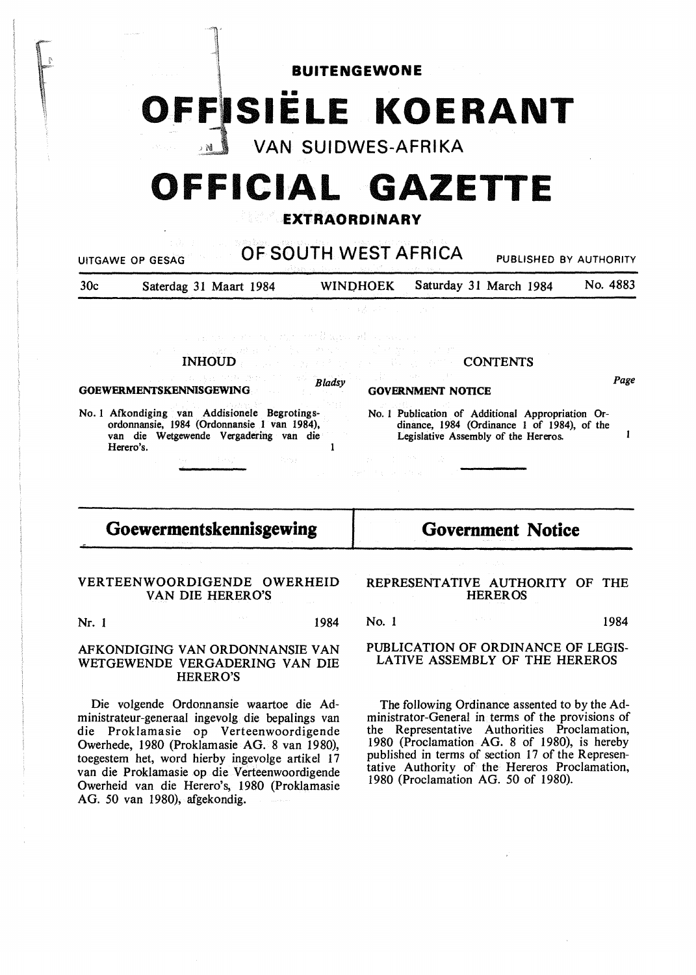**BUITENGEWONE O\_FFISIELE KOERANT** 

VAN SUIDWES-AFRIKA

# **OFFICIAL GAZETTE**

### **EXTRAORDINARY**

| 30 <sub>c</sub>                                                     | Saterdag 31 Maart 1984                                                                                                                                                                  |  | <b>WINDHOEK</b>                                                 |  | Saturday 31 March 1984                                                                                                                   | No. 4883   |
|---------------------------------------------------------------------|-----------------------------------------------------------------------------------------------------------------------------------------------------------------------------------------|--|-----------------------------------------------------------------|--|------------------------------------------------------------------------------------------------------------------------------------------|------------|
|                                                                     |                                                                                                                                                                                         |  | いっしゃ 不得者 ならし こうしんか                                              |  |                                                                                                                                          |            |
|                                                                     | a construction of the state of application of the second                                                                                                                                |  |                                                                 |  |                                                                                                                                          |            |
|                                                                     | 1. The Dawn of March 1999 of the March 1999 of the March 1999 of the March 1999 of the March 1999 of the March<br>INHOUD <b>Exploration of the contents</b>                             |  |                                                                 |  |                                                                                                                                          |            |
| Bladsy<br>그는 없이 그의 손님의 가정과 그러하고 있<br><b>GOEWERMENTSKENNISGEWING</b> |                                                                                                                                                                                         |  | 그렇게 그는 사람들이 아니라.<br><b>GOVERNMENT NOTICE</b>                    |  |                                                                                                                                          | Page       |
|                                                                     | No. 1 Afkondiging van Addisionele Begrotings-<br>ordonnansie, 1984 (Ordonnansie 1 van 1984),<br>van die Wetgewende Vergadering van die<br>Herero's.<br>1920년 - 대한민국 대학교 대학교 대학교 (1992년) |  | 100 Book Address 100 Book Address<br>net in the same tradition. |  | No. 1 Publication of Additional Appropriation Or-<br>dinance, 1984 (Ordinance 1 of 1984), of the<br>Legislative Assembly of the Hereros. |            |
|                                                                     |                                                                                                                                                                                         |  |                                                                 |  |                                                                                                                                          |            |
| Goewermentskennisgewing                                             |                                                                                                                                                                                         |  | <b>Government Notice</b>                                        |  |                                                                                                                                          |            |
|                                                                     | VERTEENWOORDIGENDE OWERHEID<br>VAN DIE HERERO'S                                                                                                                                         |  |                                                                 |  | REPRESENTATIVE AUTHORITY OF<br><b>HEREROS</b>                                                                                            | <b>THE</b> |

Nr. 1 1984

#### AFKONDIGING VAN ORDONNANSIE VAN WETGEWENDE VERGADERING VAN DIE HERERO'S

Die volgende Ordonnansie waartoe die Administrateur-generaal ingevolg die bepalings van die Proklamasie op Verteenwoordigende Owerhede, 1980 (Proklamasie AG. 8 van 1980), toegestem het, word hierby ingevolge artikel 17 van die Proklamasie op die Verteenwoordigende Owerheid van die Herero's, 1980 (Proklamasie AG. 50 van 1980), afgekondig.

No. 1 1984 PUBLICATION OF ORDINANCE OF LEGIS-LATIVE ASSEMBLY OF THE HEREROS

The following Ordinance assented to by the Administrator-General in terms of the provisions of the Representative Authorities Proclamation, 1980 (Proclamation AG. 8 of 1980), is hereby published in terms of section 17 of the Representative Authority of the Hereros Proclamation, 1980 (Proclamation AG. 50 of 1980).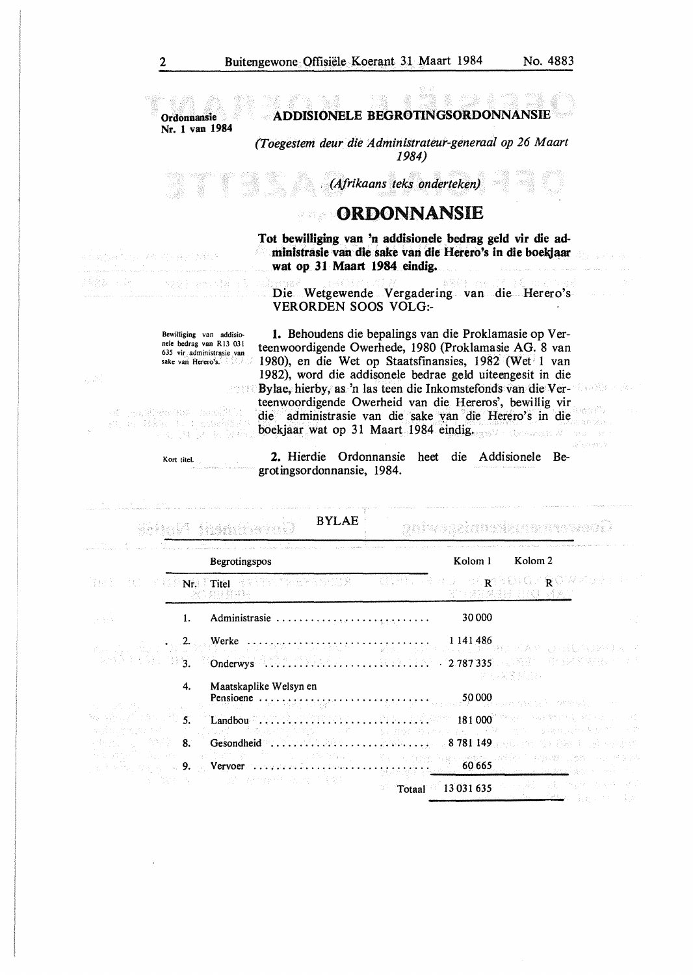**ADDISIONELE BEGROTINGSORDONNANSIB Ordormansie**  Nr. I **van 1984**  *(Toegestem deur die Administrateur-generaal op 26 Maart 1984) (Afrikaans ·teks onderteken)*  **ORDONNANSIE Tot bewilliging van 'n addisionele bedrag geld vir die administrasie van die sake van die Herero's in die boeltjaar**  ar o di Santa Afrik **wat op 31 Maart 1984 eindig.**  (상화 - 15 arec 322 Die Wetgewende Vergadering van die Herero's VERORDEN SOOS VOLO:- Bewilliging van addisio-**1.** Behoudens die bepalings van die Proklamasie op Vernele bedrag van RI3 031 teenwoordigende Owerhede, 1980 (Proklamasie AG. 8 van 635 vir administrasie van 1980), en die Wet op Staatsfinansies, 1982 (Wet 1 van sake van Herero's. 1982), word die addisonele bedrae geld uiteengesit in die Bylae, hierby, as 'n las teen die Inkomstefonds van die Ver-입 증권을 내 teenwoordigende Owerheid van die Hereros', bewillig vir  $\label{eq:1} \mathbb{E}[\mathbb{E}[\mathbb{E}[\mathbb{E}[\mathbb{E}[\mathbb{E}[\mathbb{E}[\mathbb{E}[\mathbb{E}[\mathbb{E}[\mathbb{E}[\mathbb{E}[\mathbb{E}[\mathbb{E}[\mathbb{E}[\mathbb{E}[\mathbb{E}[\mathbb{E}[\mathbb{E}[\mathbb{E}[\mathbb{E}[\mathbb{E}[\mathbb{E}[\mathbb{E}[\mathbb{E}[\mathbb{E}[\mathbb{E}[\mathbb{E}[\mathbb{E}[\mathbb{E}[\mathbb{E}[\mathbb{E}[\mathbb{E}[\mathbb{E}[\mathbb{E}[\mathbb$ อลระกัน N. die administrasie van die sake van die Herero's in die e na she boekjaar wat op 31 Maart 1984 eindig. sbreversto Mill [科品标记 **2.** Hierdie Ordonnansie heet die Addisionele Be-Kort titel. grotingsordonnansie, 1984. BYLAE an'wa ukimazi ki da karan ka Begrotingspos Kolom 1 Kolom2 NR. The RANDATOGRAPHER CHRIST OF A DIRECT ROW KORTH **R**  ig all I. Administrasie . . . . . . . . . . . . . . . . . . . . . . . . . . . 30 000 2. Werke . . . . . . . . . . . . . . . . . . . . . . . . . . . . . . . . 1 141 486 やる方は気候の人。 资资 / 自行网引发技术 / 33 3. Onderwys . . . . . . . . . . . . . . . . . . . . . . . . . . . . . 2 787 335 深得異日: 4. Maatskaplike Welsyn en Pensioene . . . . . . . . . . . . . . . . . . . . . . . . . . . . . . 50 000 5. Landbou . . . . . . . . . . . . . . . . . . . . . . . . . . . . . . 181 000 8. Gesondheid . . . . . . . . . . . . . . . . . . . . . . . . . . . . 8 781 149 4.000.092 9. Vervoer  $\ldots$ ,  $\ldots$ ,  $\ldots$ ,  $\ldots$ ,  $\ldots$ ,  $\ldots$ , 60665 조 사람만 소리 달린 ÷, Ŵ, Totaal 13 031 635